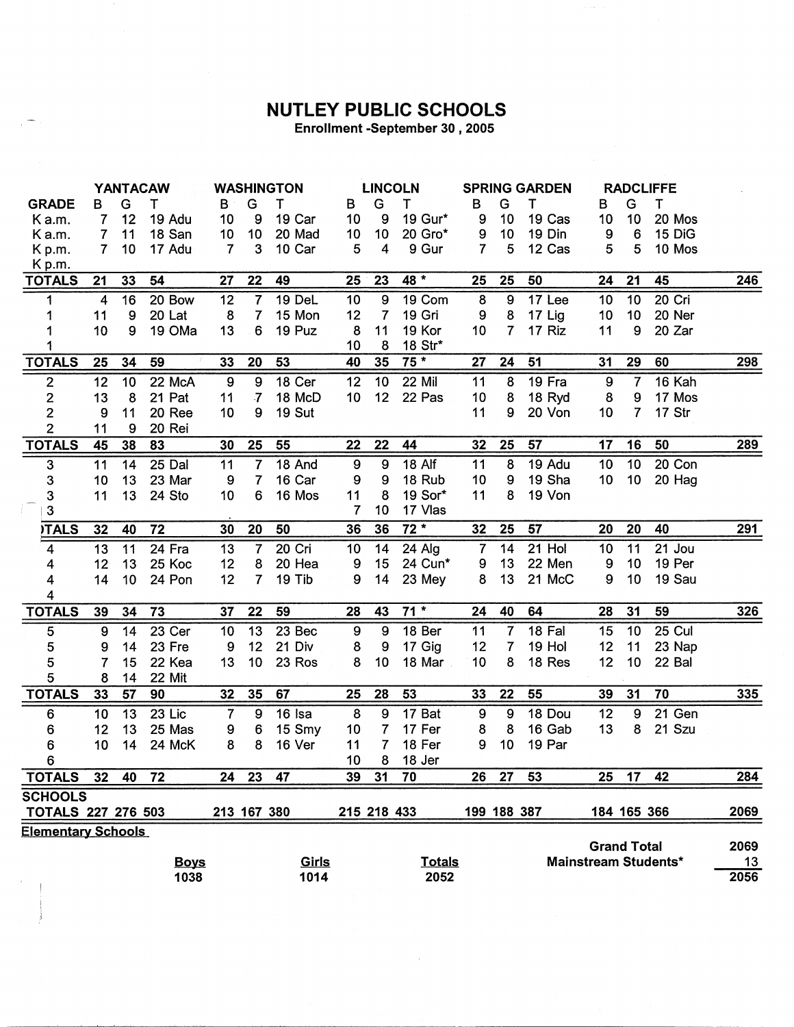## NUTLEY PUBLIC SCHOOLS

Enrollment -September 30, 2005

|                           | <b>YANTACAW</b>  |                 |          | <b>WASHINGTON</b> |                  |        | <b>LINCOLN</b>   |                |               | <b>SPRING GARDEN</b> |                             |        | <b>RADCLIFFE</b> |                 |        |            |
|---------------------------|------------------|-----------------|----------|-------------------|------------------|--------|------------------|----------------|---------------|----------------------|-----------------------------|--------|------------------|-----------------|--------|------------|
| <b>GRADE</b>              | в                | G               | т        | В                 | G                | т      | В                | G              | T             | B                    | G                           | т      | в                | G               | т      |            |
| Ka.m.                     | 7                | 12              | 19 Adu   | 10                | 9                | 19 Car | 10               | 9              | 19 Gur*       | 9                    | 10                          | 19 Cas | 10               | 10              | 20 Mos |            |
| Ka.m.                     | 7                | 11              | 18 San   | 10                | 10               | 20 Mad | 10               | 10             | 20 Gro*       | 9                    | 10                          | 19 Din | 9                | $6\phantom{1}6$ | 15 DiG |            |
| Kp.m.                     | $\overline{7}$   | 10              | 17 Adu   | $\overline{7}$    | 3                | 10 Car | 5                | 4              | 9 Gur         | $\overline{7}$       | 5                           | 12 Cas | 5                | 5               | 10 Mos |            |
| Kp.m.                     |                  |                 |          |                   |                  |        |                  |                |               |                      |                             |        |                  |                 |        |            |
| <b>TOTALS</b>             | 21               | 33              | 54       | 27                | 22               | 49     | 25               | 23             | 48 *          | 25                   | 25                          | 50     | 24               | 21              | 45     | <u>246</u> |
| 1                         | 4                | 16              | 20 Bow   | 12                | $\overline{7}$   | 19 DeL | 10               | 9              | 19 Com        | 8                    | 9                           | 17 Lee | 10               | 10              | 20 Cri |            |
| 1                         | 11               | 9               | 20 Lat   | 8                 | 7                | 15 Mon | 12               | $\overline{7}$ | 19 Gri        | 9                    | 8                           | 17 Lig | 10               | 10              | 20 Ner |            |
| 1                         | 10               | 9               | 19 OMa   | 13                | 6                | 19 Puz | 8                | 11             | 19 Kor        | 10                   | $\overline{7}$              | 17 Riz | 11               | 9               | 20 Zar |            |
|                           |                  |                 |          |                   |                  |        | 10               | 8              | 18 Str*       |                      |                             |        |                  |                 |        |            |
| <b>TOTALS</b>             | 25               | 34              | 59       | 33                | 20               | 53     | 40               | 35             | $75*$         | 27                   | 24                          | 51     | 31               | 29              | 60     | 298        |
| $\overline{2}$            | 12               | 10              | $22$ McA | $\boldsymbol{9}$  | $\boldsymbol{9}$ | 18 Cer | 12               | 10             | 22 Mil        | 11                   | 8                           | 19 Fra | $\boldsymbol{9}$ | $\overline{7}$  | 16 Kah |            |
| $\mathbf{z}$              | 13               | 8               | 21 Pat   | 11                | $\overline{7}$   | 18 McD | 10               | 12             | 22 Pas        | 10                   | 8                           | 18 Ryd | $\bf 8$          | 9               | 17 Mos |            |
| $\overline{c}$            | 9                | 11              | 20 Ree   | 10                | 9                | 19 Sut |                  |                |               | 11                   | 9                           | 20 Von | 10 <sub>1</sub>  | $\overline{7}$  | 17 Str |            |
| $\overline{2}$            | 11               | 9               | 20 Rei   |                   |                  |        |                  |                |               |                      |                             |        |                  |                 |        |            |
| <b>TOTALS</b>             | 45               | 38              | 83       | 30                | 25               | 55     | 22               | 22             | 44            | 32                   | 25                          | 57     | 17               | 16              | 50     | 289        |
| $\mathbf 3$               | 11               | 14              | $25$ Dal | 11                | 7                | 18 And | $\boldsymbol{9}$ | 9              | <b>18 Alf</b> | 11                   | 8                           | 19 Adu | 10               | 10              | 20 Con |            |
| 3                         | 10               | 13              | 23 Mar   | 9                 | $\overline{7}$   | 16 Car | 9                | 9              | 18 Rub        | 10                   | 9                           | 19 Sha | 10 <sub>1</sub>  | 10              | 20 Hag |            |
| 3                         | 11               | 13              | 24 Sto   | 10                | 6                | 16 Mos | 11               | 8              | 19 Sor*       | 11                   | 8                           | 19 Von |                  |                 |        |            |
| $\mathbf{3}$              |                  |                 |          |                   |                  |        | $\overline{7}$   | 10             | 17 Vlas       |                      |                             |        |                  |                 |        |            |
| <b>ITALS</b>              | 32               | 40              | 72       | 30                | 20               | 50     | 36               | 36             | $72*$         | 32                   | 25                          | 57     | 20               | 20              | 40     | <u>291</u> |
| 4                         | 13               | 11              | 24 Fra   | 13                | $\overline{7}$   | 20 Cri | 10               | 14             | 24 Alg        | $\overline{7}$       | 14                          | 21 Hol | 10               | 11              | 21 Jou |            |
| 4                         | 12               | 13              | 25 Koc   | 12                | 8                | 20 Hea | 9                | 15             | 24 Cun*       | 9                    | 13                          | 22 Men | 9                | 10              | 19 Per |            |
| 4                         | 14               | 10 <sub>1</sub> | 24 Pon   | 12                | $\overline{7}$   | 19 Tib | 9                | 14             | 23 Mey        | 8                    | 13                          | 21 McC | 9                | 10              | 19 Sau |            |
| 4                         |                  |                 |          |                   |                  |        |                  |                |               |                      |                             |        |                  |                 |        |            |
| <b>TOTALS</b>             | 39               | 34              | 73       | 37                | 22               | 59     | 28               | 43             | $71*$         | 24                   | 40                          | 64     | 28               | 31              | 59     | 326        |
| 5                         | $\boldsymbol{9}$ | 14              | 23 Cer   | 10                | 13               | 23 Bec | $\boldsymbol{9}$ | 9              | 18 Ber        | 11                   | $\overline{7}$              | 18 Fal | 15               | 10              | 25 Cul |            |
| 5                         | 9                | 14              | 23 Fre   | 9                 | 12               | 21 Div | 8                | 9              | 17 Gig        | 12                   | 7                           | 19 Hol | 12               | 11              | 23 Nap |            |
| 5                         | 7                | 15              | 22 Kea   | 13                | 10               | 23 Ros | 8                | 10             | 18 Mar        | 10                   | 8                           | 18 Res | 12               | 10              | 22 Bal |            |
| 5                         | 8                | 14              | 22 Mit   |                   |                  |        |                  |                |               |                      |                             |        |                  |                 |        |            |
| <b>TOTALS</b>             | 33               | 57              | 90       | 32                | 35               | 67     | 25               | 28             | 53            | 33                   | 22                          | 55     | 39               | 31              | 70     | <b>335</b> |
| 6                         | 10               | 13              | 23 Lic   | $\overline{7}$    | 9                | 16 Isa | 8                | 9              | 17 Bat        | 9                    | 9                           | 18 Dou | 12               | 9               | 21 Gen |            |
| 6                         | 12               | 13              | 25 Mas   | 9                 | 6                | 15 Smy | 10               | $\overline{7}$ | 17 Fer        | 8                    | 8                           | 16 Gab | 13               | 8               | 21 Szu |            |
| 6                         | 10               | 14              | 24 McK   | 8                 | 8                | 16 Ver | 11               | 7 <sup>1</sup> | 18 Fer        | 9                    | 10                          | 19 Par |                  |                 |        |            |
| $6\overline{6}$           |                  |                 |          |                   |                  |        | 10               | 8              | 18 Jer        |                      |                             |        |                  |                 |        |            |
| <b>TOTALS</b>             | 32               | 40              | 72       | 24                | 23               | 47     | 39               | 31             | 70            | 26                   | 27                          | 53     | 25               | 17              | 42     | 284        |
| <b>SCHOOLS</b>            |                  |                 |          |                   |                  |        |                  |                |               |                      |                             |        |                  |                 |        |            |
| <b>TOTALS 227 276 503</b> |                  |                 |          |                   | 213 167 380      |        |                  | 215 218 433    |               |                      | 199 188 387                 |        | 184 165 366      |                 |        | 2069       |
| <b>Elementary Schools</b> |                  |                 |          |                   |                  |        |                  |                |               |                      |                             |        |                  |                 |        |            |
|                           |                  |                 |          |                   |                  |        |                  |                |               |                      | <b>Grand Total</b>          |        |                  | 2069            |        |            |
|                           | <b>Boys</b>      |                 |          |                   |                  | Girls  | <b>Totals</b>    |                |               |                      | <b>Mainstream Students*</b> |        |                  |                 |        | 13         |
| 1038                      |                  |                 |          |                   |                  | 1014   | 2052             |                |               |                      |                             |        |                  |                 |        | 2056       |